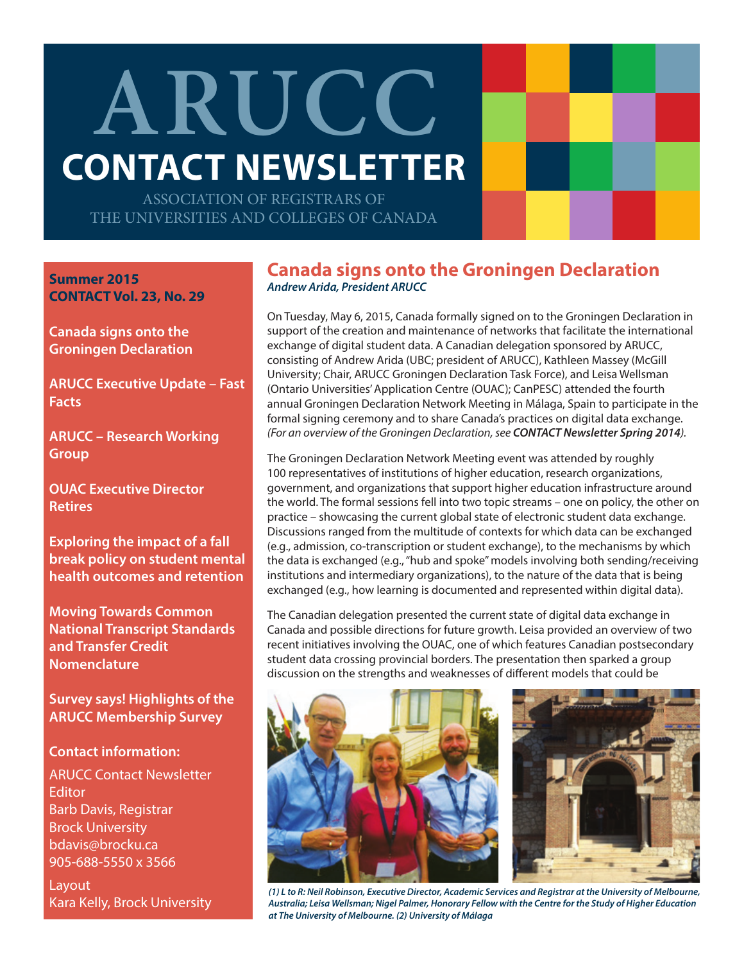# **ARUCC CONTACT NEWSLETTER**

ASSOCIATION OF REGISTRARS OF THE UNIVERSITIES AND COLLEGES OF CANADA

**Summer 2015 CONTACT Vol. 23, No. 29**

**Canada signs onto the Groningen Declaration**

**ARUCC Executive Update – Fast Facts**

**ARUCC – Research Working Group** 

**OUAC Executive Director Retires** 

**Exploring the impact of a fall break policy on student mental health outcomes and retention**

**Moving Towards Common National Transcript Standards and Transfer Credit Nomenclature**

**Survey says! Highlights of the ARUCC Membership Survey**

### **Contact information:**

ARUCC Contact Newsletter **Editor** Barb Davis, Registrar Brock University bdavis@brocku.ca 905-688-5550 x 3566

**Layout** Kara Kelly, Brock University

## **Canada signs onto the Groningen Declaration** *Andrew Arida, President ARUCC*

On Tuesday, May 6, 2015, Canada formally signed on to the Groningen Declaration in support of the creation and maintenance of networks that facilitate the international exchange of digital student data. A Canadian delegation sponsored by ARUCC, consisting of Andrew Arida (UBC; president of ARUCC), Kathleen Massey (McGill University; Chair, ARUCC Groningen Declaration Task Force), and Leisa Wellsman (Ontario Universities' Application Centre (OUAC); CanPESC) attended the fourth annual Groningen Declaration Network Meeting in Málaga, Spain to participate in the formal signing ceremony and to share Canada's practices on digital data exchange. *(For an overview of the Groningen Declaration, see CONTACT Newsletter Spring 2014).*

The Groningen Declaration Network Meeting event was attended by roughly 100 representatives of institutions of higher education, research organizations, government, and organizations that support higher education infrastructure around the world. The formal sessions fell into two topic streams – one on policy, the other on practice – showcasing the current global state of electronic student data exchange. Discussions ranged from the multitude of contexts for which data can be exchanged (e.g., admission, co-transcription or student exchange), to the mechanisms by which the data is exchanged (e.g., "hub and spoke" models involving both sending/receiving institutions and intermediary organizations), to the nature of the data that is being exchanged (e.g., how learning is documented and represented within digital data).

The Canadian delegation presented the current state of digital data exchange in Canada and possible directions for future growth. Leisa provided an overview of two recent initiatives involving the OUAC, one of which features Canadian postsecondary student data crossing provincial borders. The presentation then sparked a group discussion on the strengths and weaknesses of different models that could be



*(1) L to R: Neil Robinson, Executive Director, Academic Services and Registrar at the University of Melbourne, Australia; Leisa Wellsman; Nigel Palmer, Honorary Fellow with the Centre for the Study of Higher Education at The University of Melbourne. (2) University of Málaga*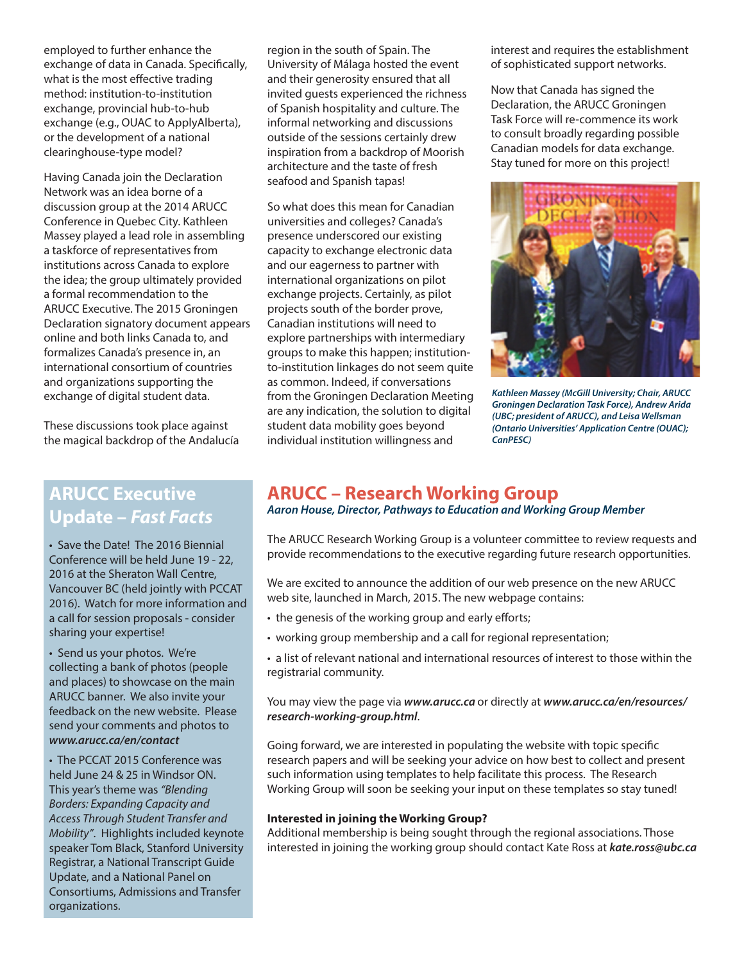employed to further enhance the exchange of data in Canada. Specifically, what is the most effective trading method: institution-to-institution exchange, provincial hub-to-hub exchange (e.g., OUAC to ApplyAlberta), or the development of a national clearinghouse-type model?

Having Canada join the Declaration Network was an idea borne of a discussion group at the 2014 ARUCC Conference in Quebec City. Kathleen Massey played a lead role in assembling a taskforce of representatives from institutions across Canada to explore the idea; the group ultimately provided a formal recommendation to the ARUCC Executive. The 2015 Groningen Declaration signatory document appears online and both links Canada to, and formalizes Canada's presence in, an international consortium of countries and organizations supporting the exchange of digital student data.

These discussions took place against the magical backdrop of the Andalucía

# **ARUCC Executive Update –** *Fast Facts*

• Save the Date! The 2016 Biennial Conference will be held June 19 - 22, 2016 at the Sheraton Wall Centre, Vancouver BC (held jointly with PCCAT 2016). Watch for more information and a call for session proposals - consider sharing your expertise!

• Send us your photos. We're collecting a bank of photos (people and places) to showcase on the main ARUCC banner. We also invite your feedback on the new website. Please send your comments and photos to *www.arucc.ca/en/contact*

• The PCCAT 2015 Conference was held June 24 & 25 in Windsor ON. This year's theme was *"Blending Borders: Expanding Capacity and Access Through Student Transfer and Mobility"*. Highlights included keynote speaker Tom Black, Stanford University Registrar, a National Transcript Guide Update, and a National Panel on Consortiums, Admissions and Transfer organizations.

region in the south of Spain. The University of Málaga hosted the event and their generosity ensured that all invited guests experienced the richness of Spanish hospitality and culture. The informal networking and discussions outside of the sessions certainly drew inspiration from a backdrop of Moorish architecture and the taste of fresh seafood and Spanish tapas!

So what does this mean for Canadian universities and colleges? Canada's presence underscored our existing capacity to exchange electronic data and our eagerness to partner with international organizations on pilot exchange projects. Certainly, as pilot projects south of the border prove, Canadian institutions will need to explore partnerships with intermediary groups to make this happen; institutionto-institution linkages do not seem quite as common. Indeed, if conversations from the Groningen Declaration Meeting are any indication, the solution to digital student data mobility goes beyond individual institution willingness and

interest and requires the establishment of sophisticated support networks.

Now that Canada has signed the Declaration, the ARUCC Groningen Task Force will re-commence its work to consult broadly regarding possible Canadian models for data exchange. Stay tuned for more on this project!



*Kathleen Massey (McGill University; Chair, ARUCC Groningen Declaration Task Force), Andrew Arida (UBC; president of ARUCC), and Leisa Wellsman (Ontario Universities' Application Centre (OUAC); CanPESC)*

## **ARUCC – Research Working Group**

#### *Aaron House, Director, Pathways to Education and Working Group Member*

The ARUCC Research Working Group is a volunteer committee to review requests and provide recommendations to the executive regarding future research opportunities.

We are excited to announce the addition of our web presence on the new ARUCC web site, launched in March, 2015. The new webpage contains:

- the genesis of the working group and early efforts;
- working group membership and a call for regional representation;
- a list of relevant national and international resources of interest to those within the registrarial community.

You may view the page via *www.arucc.ca* or directly at *www.arucc.ca/en/resources/ research-working-group.html*.

Going forward, we are interested in populating the website with topic specific research papers and will be seeking your advice on how best to collect and present such information using templates to help facilitate this process. The Research Working Group will soon be seeking your input on these templates so stay tuned!

#### **Interested in joining the Working Group?**

Additional membership is being sought through the regional associations. Those interested in joining the working group should contact Kate Ross at *kate.ross@ubc.ca*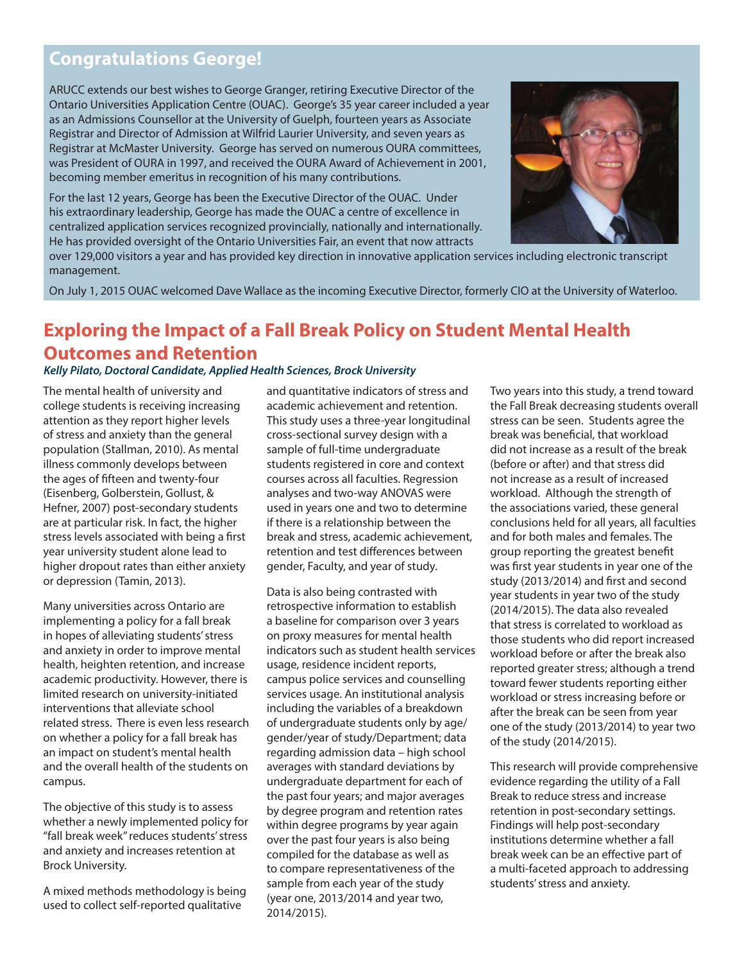## **Congratulations George!**

ARUCC extends our best wishes to George Granger, retiring Executive Director of the Ontario Universities Application Centre (OUAC). George's 35 year career included a year as an Admissions Counsellor at the University of Guelph, fourteen years as Associate Registrar and Director of Admission at Wilfrid Laurier University, and seven years as Registrar at McMaster University. George has served on numerous OURA committees, was President of OURA in 1997, and received the OURA Award of Achievement in 2001, becoming member emeritus in recognition of his many contributions.

For the last 12 years, George has been the Executive Director of the OUAC. Under his extraordinary leadership, George has made the OUAC a centre of excellence in centralized application services recognized provincially, nationally and internationally. He has provided oversight of the Ontario Universities Fair, an event that now attracts



over 129,000 visitors a year and has provided key direction in innovative application services including electronic transcript management.

On July 1, 2015 OUAC welcomed Dave Wallace as the incoming Executive Director, formerly CIO at the University of Waterloo.

## **Exploring the Impact of a Fall Break Policy on Student Mental Health Outcomes and Retention** *Kelly Pilato, Doctoral Candidate, Applied Health Sciences, Brock University*

The mental health of university and college students is receiving increasing attention as they report higher levels of stress and anxiety than the general population (Stallman, 2010). As mental illness commonly develops between the ages of fifteen and twenty-four (Eisenberg, Golberstein, Gollust, & Hefner, 2007) post-secondary students are at particular risk. In fact, the higher stress levels associated with being a first year university student alone lead to higher dropout rates than either anxiety or depression (Tamin, 2013).

Many universities across Ontario are implementing a policy for a fall break in hopes of alleviating students' stress and anxiety in order to improve mental health, heighten retention, and increase academic productivity. However, there is limited research on university-initiated interventions that alleviate school related stress. There is even less research on whether a policy for a fall break has an impact on student's mental health and the overall health of the students on campus.

The objective of this study is to assess whether a newly implemented policy for "fall break week" reduces students' stress and anxiety and increases retention at Brock University.

A mixed methods methodology is being used to collect self-reported qualitative

and quantitative indicators of stress and academic achievement and retention. This study uses a three-year longitudinal cross-sectional survey design with a sample of full-time undergraduate students registered in core and context courses across all faculties. Regression analyses and two-way ANOVAS were used in years one and two to determine if there is a relationship between the break and stress, academic achievement, retention and test differences between gender, Faculty, and year of study.

Data is also being contrasted with retrospective information to establish a baseline for comparison over 3 years on proxy measures for mental health indicators such as student health services usage, residence incident reports, campus police services and counselling services usage. An institutional analysis including the variables of a breakdown of undergraduate students only by age/ gender/year of study/Department; data regarding admission data – high school averages with standard deviations by undergraduate department for each of the past four years; and major averages by degree program and retention rates within degree programs by year again over the past four years is also being compiled for the database as well as to compare representativeness of the sample from each year of the study (year one, 2013/2014 and year two, 2014/2015).

Two years into this study, a trend toward the Fall Break decreasing students overall stress can be seen. Students agree the break was beneficial, that workload did not increase as a result of the break (before or after) and that stress did not increase as a result of increased workload. Although the strength of the associations varied, these general conclusions held for all years, all faculties and for both males and females. The group reporting the greatest benefit was first year students in year one of the study (2013/2014) and first and second year students in year two of the study (2014/2015). The data also revealed that stress is correlated to workload as those students who did report increased workload before or after the break also reported greater stress; although a trend toward fewer students reporting either workload or stress increasing before or after the break can be seen from year one of the study (2013/2014) to year two of the study (2014/2015).

This research will provide comprehensive evidence regarding the utility of a Fall Break to reduce stress and increase retention in post-secondary settings. Findings will help post-secondary institutions determine whether a fall break week can be an effective part of a multi-faceted approach to addressing students' stress and anxiety.